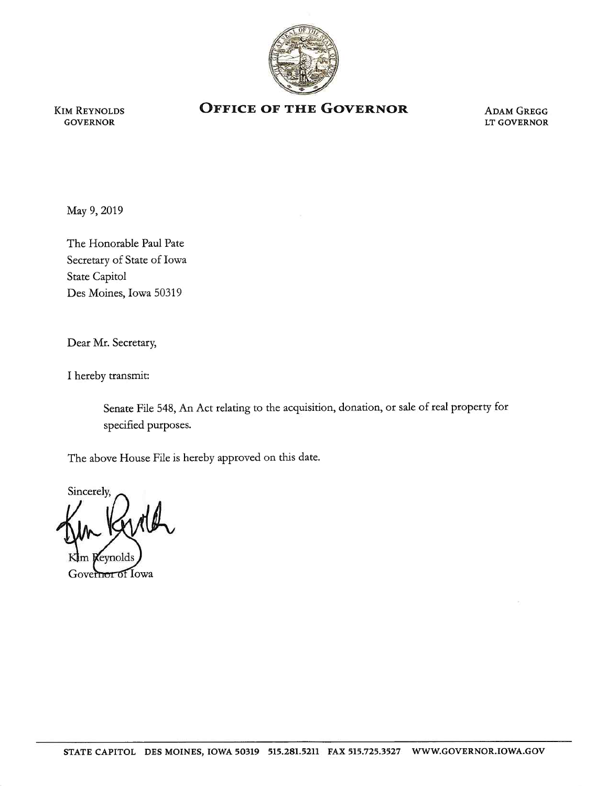

KIM REYNOLDS GOVERNOR

## **OFFICE OF THE GOVERNOR** ADAM GREGG

LT GOVERNOR

May 9, 2019

The Honorable Paul Pate Secretary of State of Iowa State Capitol Des Moines, Iowa 50319

Dear Mr. Secretary,

I hereby transmit:

Senate File 548, An Act relating to the acquisition, donation, or sale of real property for specified purposes.

The above House File is hereby approved on this date.

Sincerely,

Governor of Iowa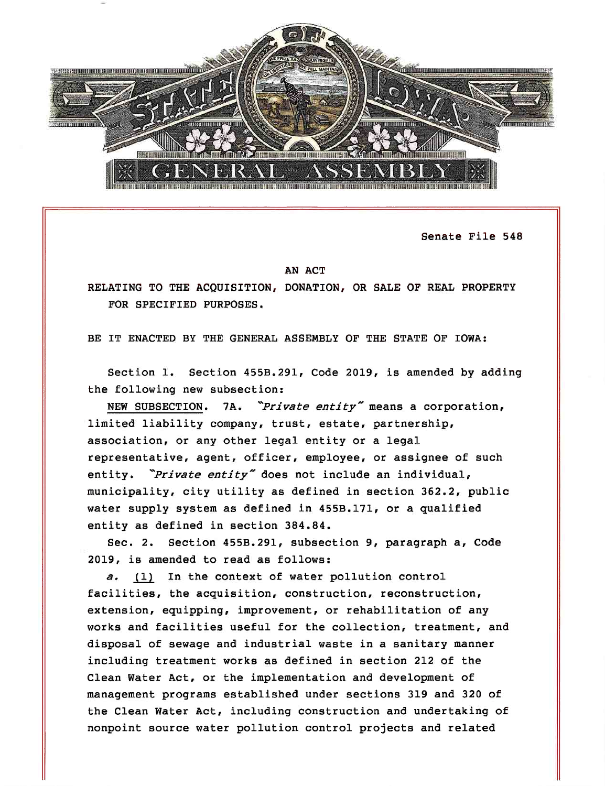

Senate File 548

## AN ACT

RELATING TO THE ACQUISITION, DONATION, OR SALE OF REAL PROPERTY FOR SPECIFIED PURPOSES.

BE IT ENACTED BY THE GENERAL ASSEMBLY OF THE STATE OF IOWA:

Section 1. Section 455B.291, Code 2019, is amended by adding the following new subsection:

NEW SUBSECTION. 7A. *Private entity*" means a corporation, limited liability company, trust, estate, partnership, association, or any other legal entity or a legal representative, agent, officer, employee, or assignee of such entity. *'Private entity-* does not include an individual, municipality, city utility as defined in section 362.2, public water supply system as defined in 455B.171, or a qualified entity as defined in section 384.84.

Sec. 2. Section 455B.291, subsection 9, paragraph a, Code 2019, is amended to read as follows:

a. (1) In the context of water pollution control facilities, the acquisition, construction, reconstruction, extension, equipping, improvement, or rehabilitation of any works and facilities useful for the collection, treatment, and disposal of sewage and industrial waste in a sanitary manner including treatment works as defined in section 212 of the Clean Water Act, or the implementation and development of management programs established under sections 319 and 320 of the Clean Water Act, including construction and undertaking of nonpoint source water pollution control projects and related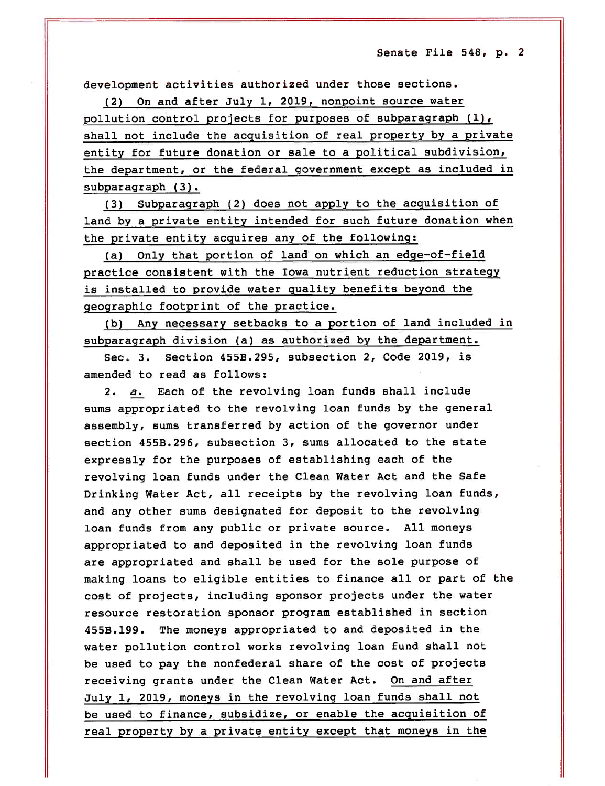development activities authorized under those sections.

(2) On and after July 1, 2019, nonpoint source water pollution control projects for purposes of subparagraph (1), shall not include the acquisition of real property by a privat<sup>e</sup> entity for future donation or sale to a political subdivision, the department, or the federal government except as included in subparagraph (3).

(3) Subparagraph (2) does not apply to the acquisition of land by a private entity intended for such future donation when the private entity acquires any of the following:

(a) Only that portion of land on which an edge-of-field practice consistent with the Iowa nutrient reduction strategy is installed to provide water quality benefits beyond the geographic footprint of the practice.

(b) Any necessary setbacks to a portion of land included in subparagraph division (a) as authorized by the department.

Sec. 3. Section 455B.295, subsection 2, Code 2019, is amended to read as follows:

2. *a.* Each of the revolving loan funds shall include sums appropriated to the revolving loan funds by the general assembly, sums transferred by action of the governor under section 455B.296, subsection 3, sums allocated to the state expressly for the purposes of establishing each of the revolving loan funds under the Clean Water Act and the Safe Drinking Water Act, all receipts by the revolving loan funds, and any other sums designated for deposit to the revolving loan funds from any public or private source. All moneys appropriated to and deposited in the revolving loan funds are appropriated and shall be used for the sole purpose of making loans to eligible entities to finance all or part of the cost of projects, including sponsor projects under the water resource restoration sponsor program established in section 455B.199. The moneys appropriated to and deposited in the water pollution control works revolving loan fund shall not be used to pay the nonfederal share of the cost of projects receiving grants under the Clean Water Act. On and after July 1, 2019, moneys in the revolving loan funds shall not be used to finance, subsidize, or enable the acquisition of real property by a private entity except that moneys in the